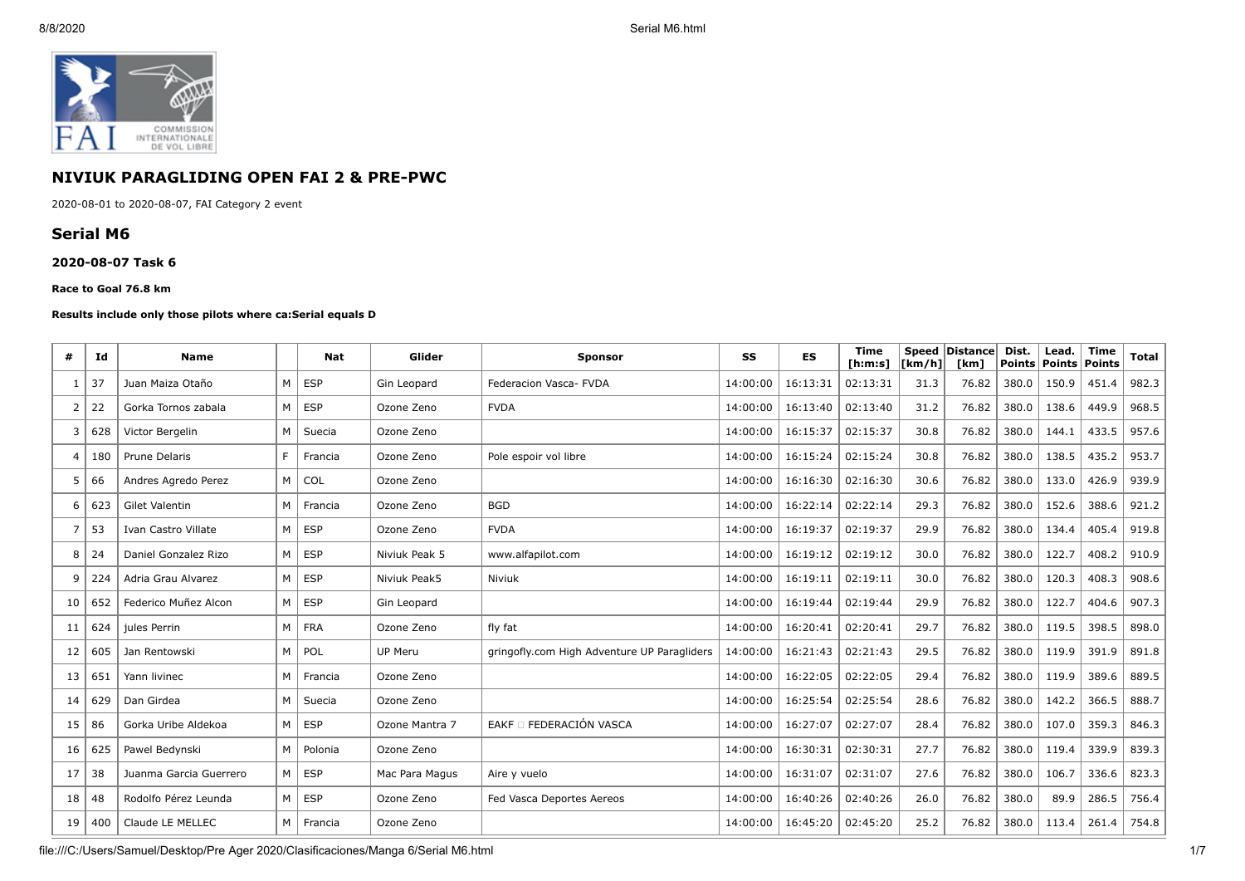

# **NIVIUK PARAGLIDING OPEN FAI 2 & PRE-PWC**

2020-08-01 to 2020-08-07, FAI Category 2 event

# **Serial M6**

### **2020-08-07 Task 6**

#### **Race to Goal 76.8 km**

### **Results include only those pilots where ca:Serial equals D**

| #              | Ιd  | <b>Name</b>            |   | Nat        | Glider         | <b>Sponsor</b>                              | SS       | <b>ES</b> | <b>Time</b><br>[ h: m: s] | <b>[km/h]</b> | Speed Distance<br>[km] | Dist.<br><b>Points</b> | Lead.<br><b>Points</b> | <b>Time</b><br><b>Points</b> | <b>Total</b> |
|----------------|-----|------------------------|---|------------|----------------|---------------------------------------------|----------|-----------|---------------------------|---------------|------------------------|------------------------|------------------------|------------------------------|--------------|
| -1             | 37  | Juan Maiza Otaño       | M | <b>ESP</b> | Gin Leopard    | Federacion Vasca- FVDA                      | 14:00:00 | 16:13:31  | 02:13:31                  | 31.3          | 76.82                  | 380.0                  | 150.9                  | 451.4                        | 982.3        |
| 2              | 22  | Gorka Tornos zabala    | M | <b>ESP</b> | Ozone Zeno     | <b>FVDA</b>                                 | 14:00:00 | 16:13:40  | 02:13:40                  | 31.2          | 76.82                  | 380.0                  | 138.6                  | 449.9                        | 968.5        |
| 3              | 628 | Victor Bergelin        | M | Suecia     | Ozone Zeno     |                                             | 14:00:00 | 16:15:37  | 02:15:37                  | 30.8          | 76.82                  | 380.0                  | 144.1                  | 433.5                        | 957.6        |
| $\overline{a}$ | 180 | Prune Delaris          | F | Francia    | Ozone Zeno     | Pole espoir vol libre                       | 14:00:00 | 16:15:24  | 02:15:24                  | 30.8          | 76.82                  | 380.0                  | 138.5                  | 435.2                        | 953.7        |
| 5              | 66  | Andres Agredo Perez    | M | COL        | Ozone Zeno     |                                             | 14:00:00 | 16:16:30  | 02:16:30                  | 30.6          | 76.82                  | 380.0                  | 133.0                  | 426.9                        | 939.9        |
| 6              | 623 | Gilet Valentin         | M | Francia    | Ozone Zeno     | <b>BGD</b>                                  | 14:00:00 | 16:22:14  | 02:22:14                  | 29.3          | 76.82                  | 380.0                  | 152.6                  | 388.6                        | 921.2        |
| 7              | 53  | Ivan Castro Villate    | M | <b>ESP</b> | Ozone Zeno     | <b>FVDA</b>                                 | 14:00:00 | 16:19:37  | 02:19:37                  | 29.9          | 76.82                  | 380.0                  | 134.4                  | 405.4                        | 919.8        |
| 8              | 24  | Daniel Gonzalez Rizo   | M | <b>ESP</b> | Niviuk Peak 5  | www.alfapilot.com                           | 14:00:00 | 16:19:12  | 02:19:12                  | 30.0          | 76.82                  | 380.0                  | 122.7                  | 408.2                        | 910.9        |
| 9              | 224 | Adria Grau Alvarez     | M | <b>ESP</b> | Niviuk Peak5   | Niviuk                                      | 14:00:00 | 16:19:11  | 02:19:11                  | 30.0          | 76.82                  | 380.0                  | 120.3                  | 408.3                        | 908.6        |
| 10             | 652 | Federico Muñez Alcon   | M | <b>ESP</b> | Gin Leopard    |                                             | 14:00:00 | 16:19:44  | 02:19:44                  | 29.9          | 76.82                  | 380.0                  | 122.7                  | 404.6                        | 907.3        |
| 11             | 624 | jules Perrin           | M | <b>FRA</b> | Ozone Zeno     | fly fat                                     | 14:00:00 | 16:20:41  | 02:20:41                  | 29.7          | 76.82                  | 380.0                  | 119.5                  | 398.5                        | 898.0        |
| 12             | 605 | Jan Rentowski          | M | POL        | UP Meru        | gringofly.com High Adventure UP Paragliders | 14:00:00 | 16:21:43  | 02:21:43                  | 29.5          | 76.82                  | 380.0                  | 119.9                  | 391.9                        | 891.8        |
| 13             | 651 | Yann livinec           | M | Francia    | Ozone Zeno     |                                             | 14:00:00 | 16:22:05  | 02:22:05                  | 29.4          | 76.82                  | 380.0                  | 119.9                  | 389.6                        | 889.5        |
| 14             | 629 | Dan Girdea             | M | Suecia     | Ozone Zeno     |                                             | 14:00:00 | 16:25:54  | 02:25:54                  | 28.6          | 76.82                  | 380.0                  | 142.2                  | 366.5                        | 888.7        |
| 15             | 86  | Gorka Uribe Aldekoa    | M | <b>ESP</b> | Ozone Mantra 7 | EAKF O FEDERACIÓN VASCA                     | 14:00:00 | 16:27:07  | 02:27:07                  | 28.4          | 76.82                  | 380.0                  | 107.0                  | 359.3                        | 846.3        |
| 16             | 625 | Pawel Bedynski         | M | Polonia    | Ozone Zeno     |                                             | 14:00:00 | 16:30:31  | 02:30:31                  | 27.7          | 76.82                  | 380.0                  | 119.4                  | 339.9                        | 839.3        |
| 17             | 38  | Juanma Garcia Guerrero | M | <b>ESP</b> | Mac Para Magus | Aire y vuelo                                | 14:00:00 | 16:31:07  | 02:31:07                  | 27.6          | 76.82                  | 380.0                  | 106.7                  | 336.6                        | 823.3        |
| 18             | 48  | Rodolfo Pérez Leunda   | м | <b>ESP</b> | Ozone Zeno     | Fed Vasca Deportes Aereos                   | 14:00:00 | 16:40:26  | 02:40:26                  | 26.0          | 76.82                  | 380.0                  | 89.9                   | 286.5                        | 756.4        |
| 19             | 400 | Claude LE MELLEC       | M | Francia    | Ozone Zeno     |                                             | 14:00:00 | 16:45:20  | 02:45:20                  | 25.2          | 76.82                  | 380.0                  | 113.4                  | 261.4                        | 754.8        |

file:///C:/Users/Samuel/Desktop/Pre Ager 2020/Clasificaciones/Manga 6/Serial M6.html 1/7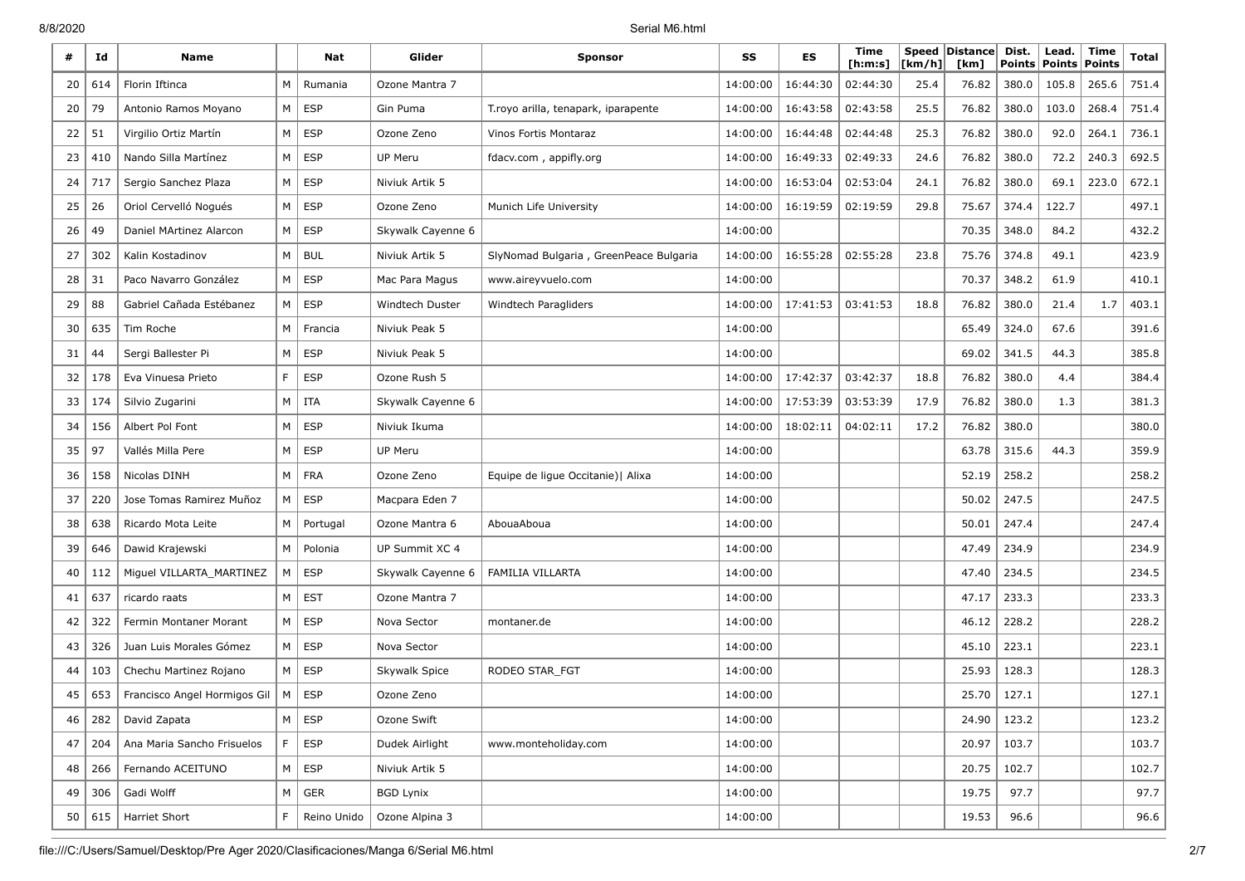8/8/2020 Serial M6.html

| #  | Id  | <b>Name</b>                  |   | Nat         | Glider            | <b>Sponsor</b>                         | SS       | <b>ES</b> | Time<br>[h:m:s] | [km/h] | Speed Distance<br>[km] | Dist.<br>Points | Lead.<br><b>Points</b> | <b>Time</b><br><b>Points</b> | <b>Total</b> |
|----|-----|------------------------------|---|-------------|-------------------|----------------------------------------|----------|-----------|-----------------|--------|------------------------|-----------------|------------------------|------------------------------|--------------|
| 20 | 614 | Florin Iftinca               | M | Rumania     | Ozone Mantra 7    |                                        | 14:00:00 | 16:44:30  | 02:44:30        | 25.4   | 76.82                  | 380.0           | 105.8                  | 265.6                        | 751.4        |
| 20 | 79  | Antonio Ramos Moyano         | M | <b>ESP</b>  | Gin Puma          | T. royo arilla, tenapark, iparapente   | 14:00:00 | 16:43:58  | 02:43:58        | 25.5   | 76.82                  | 380.0           | 103.0                  | 268.4                        | 751.4        |
| 22 | 51  | Virgilio Ortiz Martín        | M | <b>ESP</b>  | Ozone Zeno        | Vinos Fortis Montaraz                  | 14:00:00 | 16:44:48  | 02:44:48        | 25.3   | 76.82                  | 380.0           | 92.0                   | 264.1                        | 736.1        |
| 23 | 410 | Nando Silla Martínez         | M | <b>ESP</b>  | UP Meru           | fdacv.com, appifly.org                 | 14:00:00 | 16:49:33  | 02:49:33        | 24.6   | 76.82                  | 380.0           | 72.2                   | 240.3                        | 692.5        |
| 24 | 717 | Sergio Sanchez Plaza         | M | <b>ESP</b>  | Niviuk Artik 5    |                                        | 14:00:00 | 16:53:04  | 02:53:04        | 24.1   | 76.82                  | 380.0           | 69.1                   | 223.0                        | 672.1        |
| 25 | 26  | Oriol Cervelló Nogués        | M | <b>ESP</b>  | Ozone Zeno        | Munich Life University                 | 14:00:00 | 16:19:59  | 02:19:59        | 29.8   | 75.67                  | 374.4           | 122.7                  |                              | 497.1        |
| 26 | 49  | Daniel MArtinez Alarcon      | M | <b>ESP</b>  | Skywalk Cayenne 6 |                                        | 14:00:00 |           |                 |        | 70.35                  | 348.0           | 84.2                   |                              | 432.2        |
| 27 | 302 | Kalin Kostadinov             | M | <b>BUL</b>  | Niviuk Artik 5    | SlyNomad Bulgaria, GreenPeace Bulgaria | 14:00:00 | 16:55:28  | 02:55:28        | 23.8   | 75.76                  | 374.8           | 49.1                   |                              | 423.9        |
| 28 | 31  | Paco Navarro González        | M | <b>ESP</b>  | Mac Para Magus    | www.aireyvuelo.com                     | 14:00:00 |           |                 |        | 70.37                  | 348.2           | 61.9                   |                              | 410.1        |
| 29 | 88  | Gabriel Cañada Estébanez     | M | <b>ESP</b>  | Windtech Duster   | Windtech Paragliders                   | 14:00:00 | 17:41:53  | 03:41:53        | 18.8   | 76.82                  | 380.0           | 21.4                   | 1.7                          | 403.1        |
| 30 | 635 | Tim Roche                    | M | Francia     | Niviuk Peak 5     |                                        | 14:00:00 |           |                 |        | 65.49                  | 324.0           | 67.6                   |                              | 391.6        |
| 31 | 44  | Sergi Ballester Pi           | M | <b>ESP</b>  | Niviuk Peak 5     |                                        | 14:00:00 |           |                 |        | 69.02                  | 341.5           | 44.3                   |                              | 385.8        |
| 32 | 178 | Eva Vinuesa Prieto           | F | <b>ESP</b>  | Ozone Rush 5      |                                        | 14:00:00 | 17:42:37  | 03:42:37        | 18.8   | 76.82                  | 380.0           | 4.4                    |                              | 384.4        |
| 33 | 174 | Silvio Zugarini              | M | ITA         | Skywalk Cayenne 6 |                                        | 14:00:00 | 17:53:39  | 03:53:39        | 17.9   | 76.82                  | 380.0           | 1.3                    |                              | 381.3        |
| 34 | 156 | Albert Pol Font              | M | <b>ESP</b>  | Niviuk Ikuma      |                                        | 14:00:00 | 18:02:11  | 04:02:11        | 17.2   | 76.82                  | 380.0           |                        |                              | 380.0        |
| 35 | 97  | Vallés Milla Pere            | М | <b>ESP</b>  | UP Meru           |                                        | 14:00:00 |           |                 |        | 63.78                  | 315.6           | 44.3                   |                              | 359.9        |
| 36 | 158 | Nicolas DINH                 | M | <b>FRA</b>  | Ozone Zeno        | Equipe de ligue Occitanie)   Alixa     | 14:00:00 |           |                 |        | 52.19                  | 258.2           |                        |                              | 258.2        |
| 37 | 220 | Jose Tomas Ramirez Muñoz     | M | <b>ESP</b>  | Macpara Eden 7    |                                        | 14:00:00 |           |                 |        | 50.02                  | 247.5           |                        |                              | 247.5        |
| 38 | 638 | Ricardo Mota Leite           | M | Portugal    | Ozone Mantra 6    | AbouaAboua                             | 14:00:00 |           |                 |        | 50.01                  | 247.4           |                        |                              | 247.4        |
| 39 | 646 | Dawid Krajewski              | M | Polonia     | UP Summit XC 4    |                                        | 14:00:00 |           |                 |        | 47.49                  | 234.9           |                        |                              | 234.9        |
| 40 | 112 | Miguel VILLARTA_MARTINEZ     | M | <b>ESP</b>  | Skywalk Cayenne 6 | FAMILIA VILLARTA                       | 14:00:00 |           |                 |        | 47.40                  | 234.5           |                        |                              | 234.5        |
| 41 | 637 | ricardo raats                | M | <b>EST</b>  | Ozone Mantra 7    |                                        | 14:00:00 |           |                 |        | 47.17                  | 233.3           |                        |                              | 233.3        |
| 42 | 322 | Fermin Montaner Morant       | M | <b>ESP</b>  | Nova Sector       | montaner.de                            | 14:00:00 |           |                 |        | 46.12                  | 228.2           |                        |                              | 228.2        |
| 43 | 326 | Juan Luis Morales Gómez      | M | <b>ESP</b>  | Nova Sector       |                                        | 14:00:00 |           |                 |        | 45.10                  | 223.1           |                        |                              | 223.1        |
| 44 | 103 | Chechu Martinez Rojano       | М | <b>ESP</b>  | Skywalk Spice     | RODEO STAR_FGT                         | 14:00:00 |           |                 |        | 25.93                  | 128.3           |                        |                              | 128.3        |
| 45 | 653 | Francisco Angel Hormigos Gil | м | <b>ESP</b>  | Ozone Zeno        |                                        | 14:00:00 |           |                 |        | 25.70                  | 127.1           |                        |                              | 127.1        |
| 46 | 282 | David Zapata                 | M | ESP         | Ozone Swift       |                                        | 14:00:00 |           |                 |        | 24.90                  | 123.2           |                        |                              | 123.2        |
| 47 | 204 | Ana Maria Sancho Frisuelos   | F | <b>ESP</b>  | Dudek Airlight    | www.monteholiday.com                   | 14:00:00 |           |                 |        | 20.97                  | 103.7           |                        |                              | 103.7        |
| 48 | 266 | Fernando ACEITUNO            | M | ESP         | Niviuk Artik 5    |                                        | 14:00:00 |           |                 |        | 20.75                  | 102.7           |                        |                              | 102.7        |
| 49 | 306 | Gadi Wolff                   | M | <b>GER</b>  | <b>BGD Lynix</b>  |                                        | 14:00:00 |           |                 |        | 19.75                  | 97.7            |                        |                              | 97.7         |
| 50 | 615 | Harriet Short                | F | Reino Unido | Ozone Alpina 3    |                                        | 14:00:00 |           |                 |        | 19.53                  | 96.6            |                        |                              | 96.6         |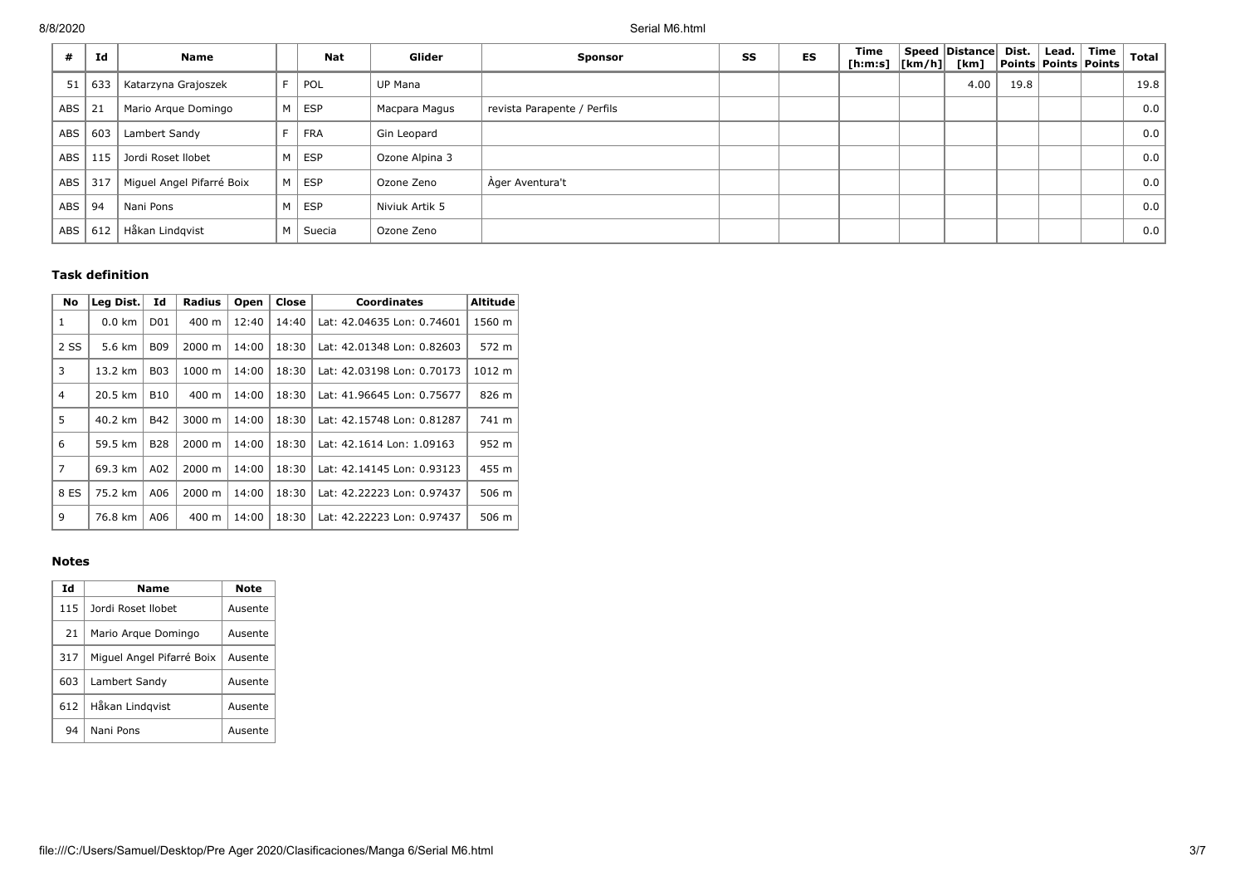| #          | Id  | <b>Name</b>               |   | <b>Nat</b> | Glider         | <b>Sponsor</b>              | SS | ES | <b>Time</b><br>[h:m:s] $\vert$ [km/h] $\vert$ | Speed Distance Dist.<br>[km] |      | Lead. | Time<br><b>Points Points Points</b> | <b>Total</b> |
|------------|-----|---------------------------|---|------------|----------------|-----------------------------|----|----|-----------------------------------------------|------------------------------|------|-------|-------------------------------------|--------------|
| 51         | 633 | Katarzyna Grajoszek       | F | POL        | <b>UP Mana</b> |                             |    |    |                                               | 4.00                         | 19.8 |       |                                     | 19.8         |
| ABS        | 21  | Mario Argue Domingo       | M | ESP        | Macpara Magus  | revista Parapente / Perfils |    |    |                                               |                              |      |       |                                     | 0.0          |
| <b>ABS</b> | 603 | Lambert Sandy             |   | <b>FRA</b> | Gin Leopard    |                             |    |    |                                               |                              |      |       |                                     | 0.0          |
| <b>ABS</b> | 115 | Jordi Roset Ilobet        | M | ESP        | Ozone Alpina 3 |                             |    |    |                                               |                              |      |       |                                     | 0.0          |
| ABS        | 317 | Miquel Angel Pifarré Boix | M | ESP        | Ozone Zeno     | Ager Aventura't             |    |    |                                               |                              |      |       |                                     | 0.0          |
| ABS        | 94  | Nani Pons                 | М | ESP        | Niviuk Artik 5 |                             |    |    |                                               |                              |      |       |                                     | 0.0          |
| ABS        | 612 | Håkan Lindgvist           | M | Suecia     | Ozone Zeno     |                             |    |    |                                               |                              |      |       |                                     | 0.0          |

# **Task definition**

| No             | Leg Dist. | Id              | <b>Radius</b>   | Open  | Close | Coordinates                | <b>Altitude</b> |
|----------------|-----------|-----------------|-----------------|-------|-------|----------------------------|-----------------|
| $\mathbf{1}$   | $0.0$ km  | D <sub>01</sub> | 400 m           | 12:40 | 14:40 | Lat: 42.04635 Lon: 0.74601 | 1560 m          |
| 2 SS           | 5.6 km    | <b>B09</b>      | 2000 m          | 14:00 | 18:30 | Lat: 42.01348 Lon: 0.82603 | 572 m           |
| 3              | 13.2 km   | <b>B03</b>      | 1000 m          | 14:00 | 18:30 | Lat: 42.03198 Lon: 0.70173 | 1012 m          |
| 4              | 20.5 km   | <b>B10</b>      | $400 \text{ m}$ | 14:00 | 18:30 | Lat: 41.96645 Lon: 0.75677 | 826 m           |
| 5              | 40.2 km   | <b>B42</b>      | 3000 m          | 14:00 | 18:30 | Lat: 42.15748 Lon: 0.81287 | 741 m           |
| 6              | 59.5 km   | <b>B28</b>      | 2000 m          | 14:00 | 18:30 | Lat: 42.1614 Lon: 1.09163  | 952 m           |
| $\overline{7}$ | 69.3 km   | A02             | 2000 m          | 14:00 | 18:30 | Lat: 42.14145 Lon: 0.93123 | 455 m           |
| 8 ES           | 75.2 km   | A06             | 2000 m          | 14:00 | 18:30 | Lat: 42.22223 Lon: 0.97437 | 506 m           |
| 9              | 76.8 km   | A06             | 400 m           | 14:00 | 18:30 | Lat: 42.22223 Lon: 0.97437 | 506 m           |

## **Notes**

| Ιd  | Name                      | Note    |
|-----|---------------------------|---------|
| 115 | Jordi Roset Ilobet        | Ausente |
| 21  | Mario Argue Domingo       | Ausente |
| 317 | Miguel Angel Pifarré Boix | Ausente |
| 603 | Lambert Sandy             | Ausente |
| 612 | Håkan Lindqvist           | Ausente |
| 94  | Nani Pons                 | Ausente |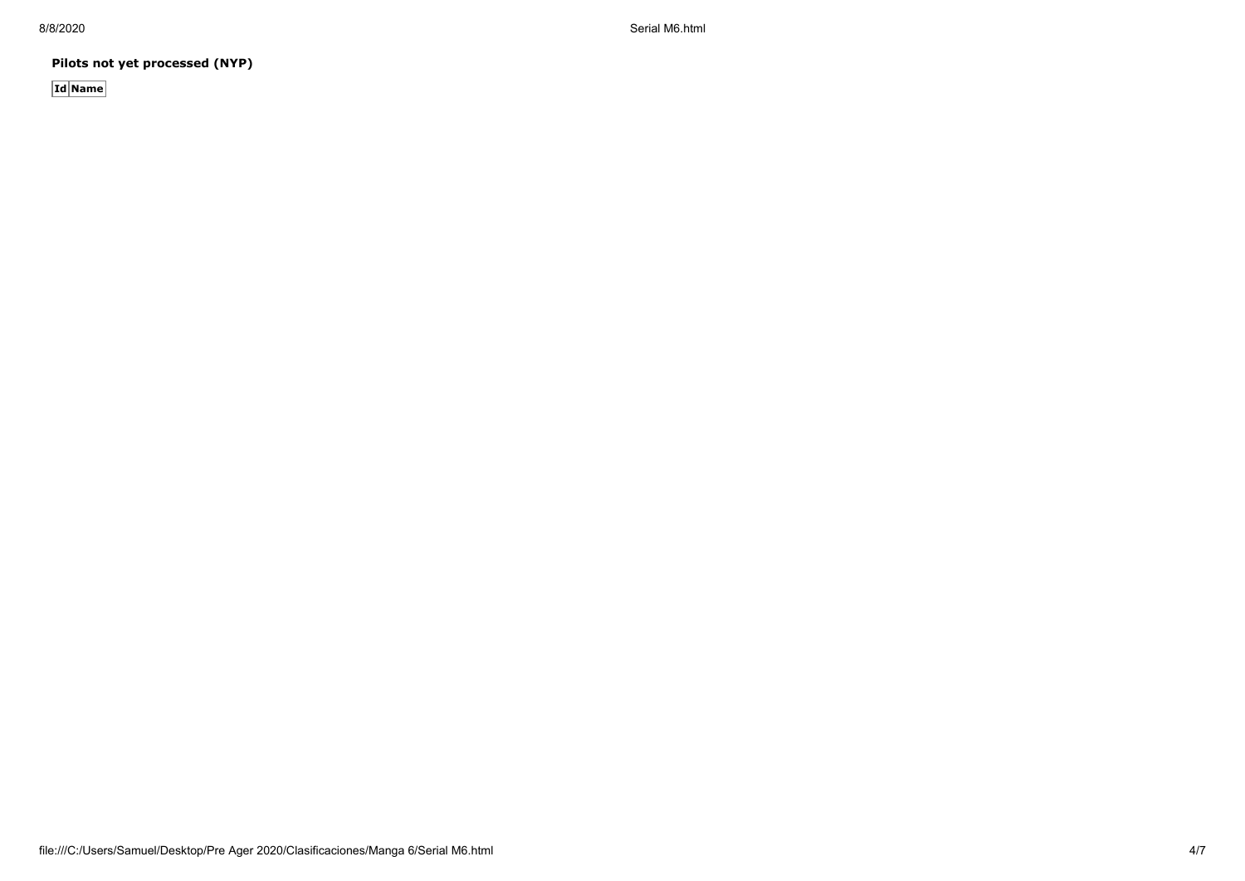8/8/2020 Serial M6.html

**Pilots not yet processed (NYP)**

**Id Name**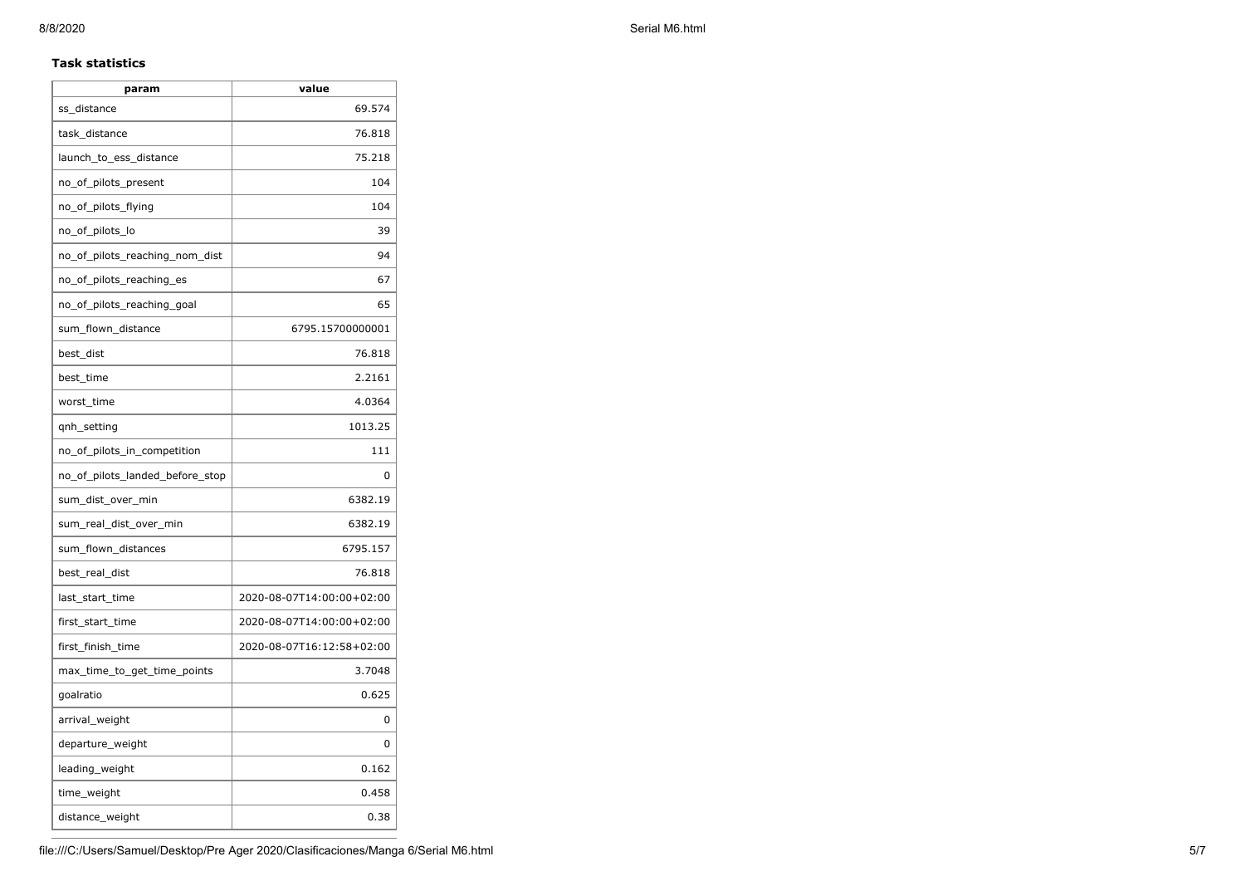## **Task statistics**

| param                           | value                     |
|---------------------------------|---------------------------|
| ss_distance                     | 69.574                    |
| task distance                   | 76.818                    |
| launch_to_ess_distance          | 75.218                    |
| no_of_pilots_present            | 104                       |
| no_of_pilots_flying             | 104                       |
| no_of_pilots_lo                 | 39                        |
| no_of_pilots_reaching_nom_dist  | 94                        |
| no_of_pilots_reaching_es        | 67                        |
| no_of_pilots_reaching_goal      | 65                        |
| sum_flown_distance              | 6795.15700000001          |
| best_dist                       | 76.818                    |
| best time                       | 2.2161                    |
| worst time                      | 4.0364                    |
| qnh_setting                     | 1013.25                   |
| no_of_pilots_in_competition     | 111                       |
| no of pilots landed before stop | 0                         |
| sum_dist_over_min               | 6382.19                   |
| sum_real_dist_over_min          | 6382.19                   |
| sum_flown_distances             | 6795.157                  |
| best_real_dist                  | 76.818                    |
| last_start_time                 | 2020-08-07T14:00:00+02:00 |
| first_start_time                | 2020-08-07T14:00:00+02:00 |
| first_finish_time               | 2020-08-07T16:12:58+02:00 |
| max_time_to_get_time_points     | 3.7048                    |
| goalratio                       | 0.625                     |
| arrival_weight                  | 0                         |
| departure_weight                | 0                         |
| leading_weight                  | 0.162                     |
| time_weight                     | 0.458                     |
| distance_weight                 | 0.38                      |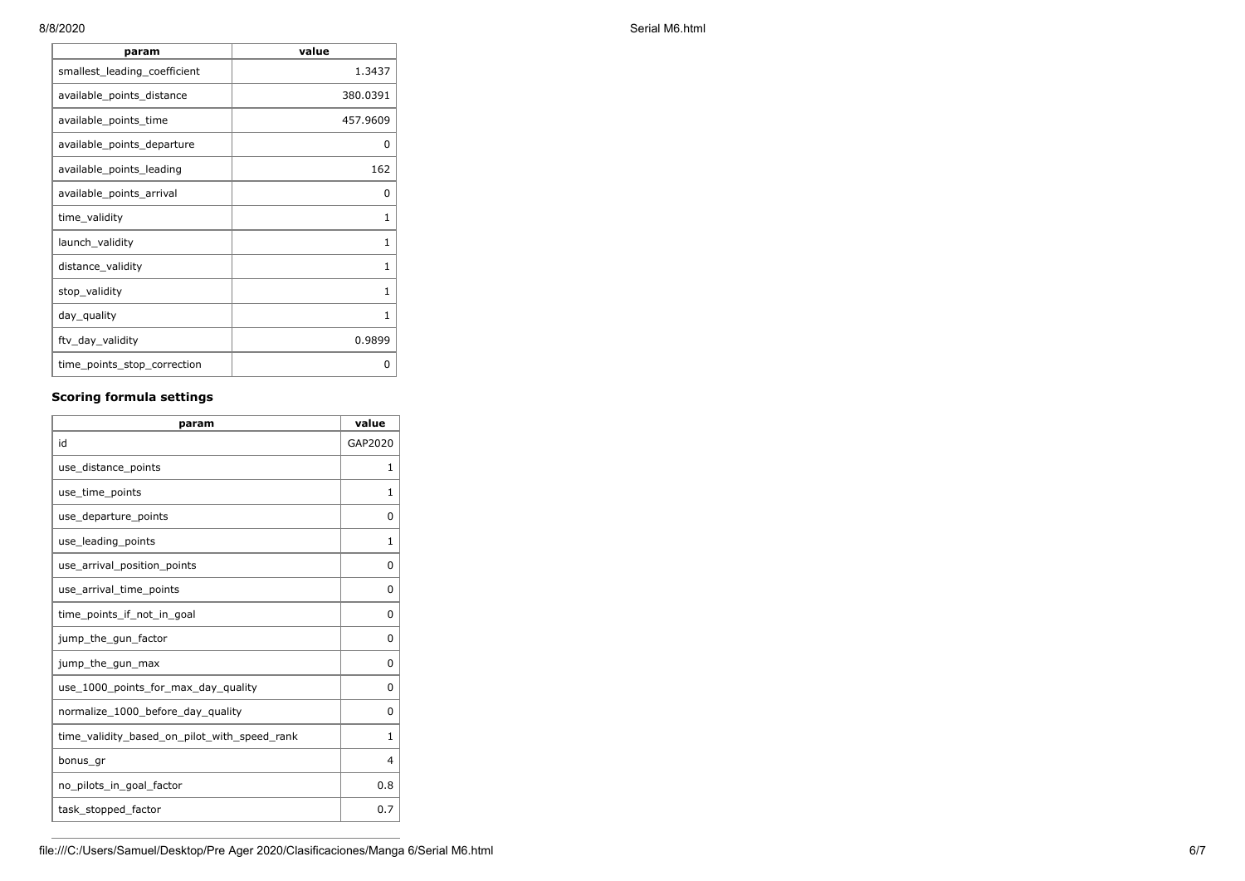| param                        | value        |
|------------------------------|--------------|
| smallest_leading_coefficient | 1.3437       |
| available_points_distance    | 380.0391     |
| available_points_time        | 457.9609     |
| available_points_departure   | 0            |
| available points leading     | 162          |
| available_points_arrival     | 0            |
| time_validity                | 1            |
| launch_validity              | 1            |
| distance_validity            | 1            |
| stop_validity                | $\mathbf{1}$ |
| day_quality                  | 1            |
| ftv_day_validity             | 0.9899       |
| time_points_stop_correction  | 0            |

## **Scoring formula settings**

| param                                        | value        |
|----------------------------------------------|--------------|
| id                                           | GAP2020      |
| use_distance_points                          | 1            |
| use_time_points                              | 1            |
| use_departure_points                         | $\Omega$     |
| use_leading_points                           | 1            |
| use arrival position points                  | $\Omega$     |
| use_arrival_time_points                      | 0            |
| time points if not in goal                   | $\Omega$     |
| jump_the_gun_factor                          | $\Omega$     |
| jump_the_gun_max                             | 0            |
| use_1000_points_for_max_day_quality          | 0            |
| normalize_1000_before_day_quality            | 0            |
| time_validity_based_on_pilot_with_speed_rank | $\mathbf{1}$ |
| bonus_gr                                     | 4            |
| no pilots in goal factor                     | 0.8          |
| task_stopped_factor                          | 0.7          |

8/8/2020 Serial M6.html